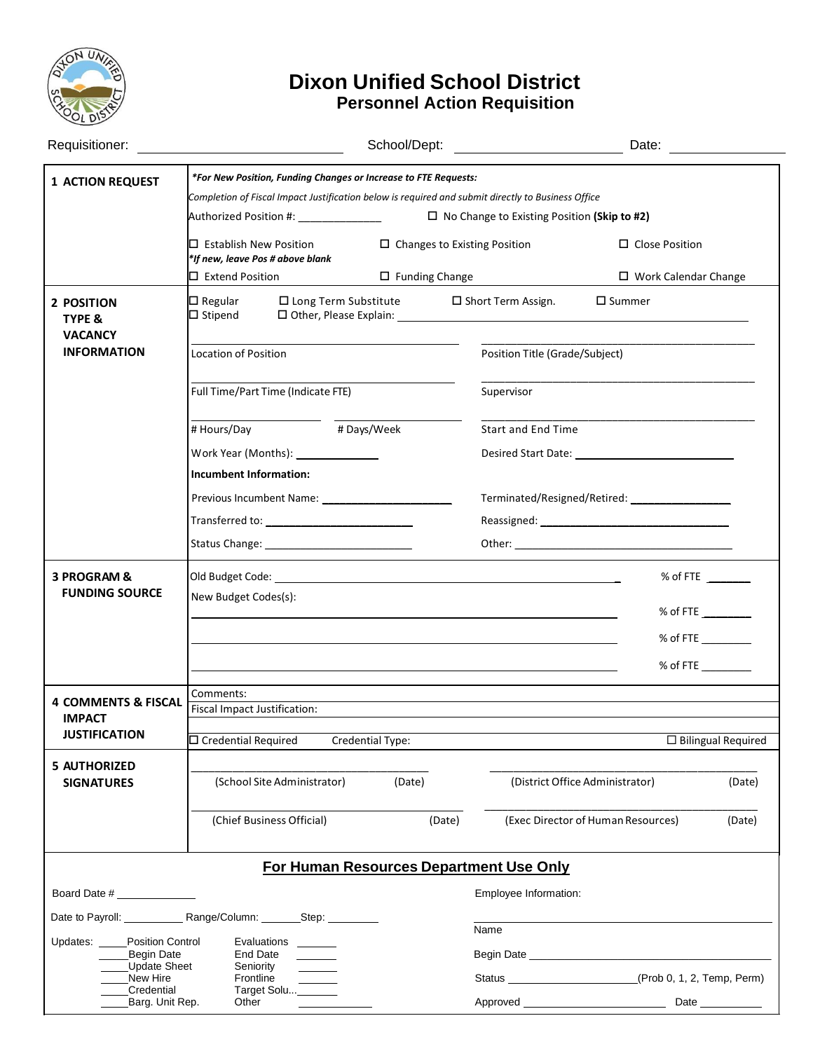

# **Dixon Unified School District Personnel Action Requisition**

|                                                                                                                       | Requisitioner: <u>___________________</u>                                                                                                                                                                                                                                                                                                                                                      |                                                                                                                      | School/Dept: ________________________                                                                      |                                                                                                                                                                                                                                                                                                                 |                           |
|-----------------------------------------------------------------------------------------------------------------------|------------------------------------------------------------------------------------------------------------------------------------------------------------------------------------------------------------------------------------------------------------------------------------------------------------------------------------------------------------------------------------------------|----------------------------------------------------------------------------------------------------------------------|------------------------------------------------------------------------------------------------------------|-----------------------------------------------------------------------------------------------------------------------------------------------------------------------------------------------------------------------------------------------------------------------------------------------------------------|---------------------------|
| <b>1 ACTION REQUEST</b>                                                                                               | *For New Position, Funding Changes or Increase to FTE Requests:<br>Completion of Fiscal Impact Justification below is required and submit directly to Business Office<br>Authorized Position #: \\espited{\math{\math}<br>$\square$ Establish New Position<br>$\Box$ Changes to Existing Position<br>*If new, leave Pos # above blank<br>$\square$ Extend Position<br>$\square$ Funding Change |                                                                                                                      | $\Box$ No Change to Existing Position (Skip to #2)<br>$\Box$ Close Position<br>$\Box$ Work Calendar Change |                                                                                                                                                                                                                                                                                                                 |                           |
| 2 POSITION<br><b>TYPE &amp;</b><br><b>VACANCY</b><br><b>INFORMATION</b>                                               | $\square$ Regular<br>$\square$ Long Term Substitute<br>$\Box$ Stipend<br>Location of Position                                                                                                                                                                                                                                                                                                  |                                                                                                                      | $\square$ Short Term Assign.<br>$\square$ Summer<br>Position Title (Grade/Subject)                         |                                                                                                                                                                                                                                                                                                                 |                           |
|                                                                                                                       | Full Time/Part Time (Indicate FTE)<br># Hours/Day<br><b>Incumbent Information:</b>                                                                                                                                                                                                                                                                                                             | #Days/Week                                                                                                           | Supervisor<br><b>Start and End Time</b>                                                                    | Desired Start Date: Note:                                                                                                                                                                                                                                                                                       |                           |
|                                                                                                                       |                                                                                                                                                                                                                                                                                                                                                                                                |                                                                                                                      |                                                                                                            |                                                                                                                                                                                                                                                                                                                 |                           |
| 3 PROGRAM &<br><b>FUNDING SOURCE</b>                                                                                  | Old Budget Code:<br>New Budget Codes(s):                                                                                                                                                                                                                                                                                                                                                       | <u> 1989 - Johann Stein, mars an deutscher Stein und der Stein und der Stein und der Stein und der Stein und der</u> |                                                                                                            | % of FTE $\_\_$<br>% of FTE $\_\_$<br>% of FTE $\_\_\_\_\_\_\_\_\_\_\_\_\_\_\_$<br>% of FTE $\_\_\_\_\_\_\_\_\_\_\_\_\_\_\_$                                                                                                                                                                                    |                           |
| <b>4 COMMENTS &amp; FISCAL</b><br><b>IMPACT</b><br><b>JUSTIFICATION</b>                                               | Comments:<br>Fiscal Impact Justification:<br>$\square$ Credential Required                                                                                                                                                                                                                                                                                                                     | Credential Type:                                                                                                     |                                                                                                            |                                                                                                                                                                                                                                                                                                                 | $\Box$ Bilingual Required |
| <b>5 AUTHORIZED</b><br><b>SIGNATURES</b>                                                                              | (School Site Administrator)<br>(Chief Business Official)                                                                                                                                                                                                                                                                                                                                       | (Date)<br>(Date)                                                                                                     |                                                                                                            | (District Office Administrator)<br>(Exec Director of Human Resources)                                                                                                                                                                                                                                           | (Date)<br>(Date)          |
| For Human Resources Department Use Only<br>Employee Information:                                                      |                                                                                                                                                                                                                                                                                                                                                                                                |                                                                                                                      |                                                                                                            |                                                                                                                                                                                                                                                                                                                 |                           |
| Updates:<br><b>Position Control</b><br>Begin Date<br><b>Update Sheet</b><br>New Hire<br>Credential<br>Barg. Unit Rep. | Date to Payroll: ______________ Range/Column: _________Step: __________<br>Evaluations<br>End Date<br>Seniority<br>Frontline<br>Target Solu ______<br>Other                                                                                                                                                                                                                                    |                                                                                                                      | Name                                                                                                       | Begin Date <b>Exercise Service Contract Contract Contract Contract Contract Contract Contract Contract Contract Contract Contract Contract Contract Contract Contract Contract Contract Contract Contract Contract Contract Cont</b><br>Status ________________________(Prob 0, 1, 2, Temp, Perm)<br>Date _____ |                           |